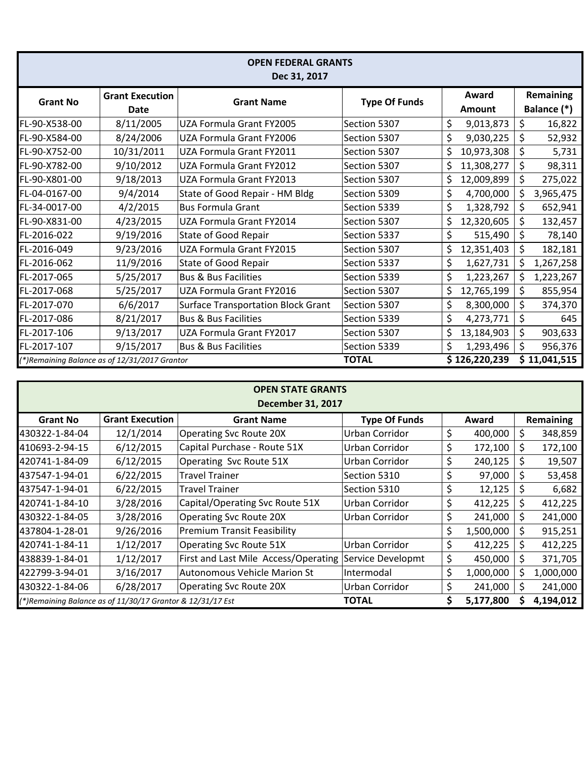| <b>OPEN FEDERAL GRANTS</b><br>Dec 31, 2017    |                                |                                    |                      |                 |               |                                 |              |  |  |  |  |  |
|-----------------------------------------------|--------------------------------|------------------------------------|----------------------|-----------------|---------------|---------------------------------|--------------|--|--|--|--|--|
| <b>Grant No</b>                               | <b>Grant Execution</b><br>Date | <b>Grant Name</b>                  | <b>Type Of Funds</b> | Award<br>Amount |               | <b>Remaining</b><br>Balance (*) |              |  |  |  |  |  |
| FL-90-X538-00                                 | 8/11/2005                      | UZA Formula Grant FY2005           | Section 5307         | \$              | 9,013,873     | \$                              | 16,822       |  |  |  |  |  |
| FL-90-X584-00                                 | 8/24/2006                      | UZA Formula Grant FY2006           | Section 5307         | \$              | 9,030,225     | \$                              | 52,932       |  |  |  |  |  |
| FL-90-X752-00                                 | 10/31/2011                     | UZA Formula Grant FY2011           | Section 5307         | \$              | 10,973,308    | \$                              | 5,731        |  |  |  |  |  |
| FL-90-X782-00                                 | 9/10/2012                      | UZA Formula Grant FY2012           | Section 5307         | \$              | 11,308,277    | \$                              | 98,311       |  |  |  |  |  |
| FL-90-X801-00                                 | 9/18/2013                      | UZA Formula Grant FY2013           | Section 5307         | \$              | 12,009,899    | \$                              | 275,022      |  |  |  |  |  |
| FL-04-0167-00                                 | 9/4/2014                       | State of Good Repair - HM Bldg     | Section 5309         | \$              | 4,700,000     | \$                              | 3,965,475    |  |  |  |  |  |
| FL-34-0017-00                                 | 4/2/2015                       | <b>Bus Formula Grant</b>           | Section 5339         | \$              | 1,328,792     | \$                              | 652,941      |  |  |  |  |  |
| FL-90-X831-00                                 | 4/23/2015                      | UZA Formula Grant FY2014           | Section 5307         | \$              | 12,320,605    | \$                              | 132,457      |  |  |  |  |  |
| FL-2016-022                                   | 9/19/2016                      | State of Good Repair               | Section 5337         | \$              | 515,490       | \$                              | 78,140       |  |  |  |  |  |
| FL-2016-049                                   | 9/23/2016                      | UZA Formula Grant FY2015           | Section 5307         | \$              | 12,351,403    | \$                              | 182,181      |  |  |  |  |  |
| FL-2016-062                                   | 11/9/2016                      | State of Good Repair               | Section 5337         | \$              | 1,627,731     | \$                              | 1,267,258    |  |  |  |  |  |
| FL-2017-065                                   | 5/25/2017                      | <b>Bus &amp; Bus Facilities</b>    | Section 5339         | \$              | 1,223,267     | \$                              | 1,223,267    |  |  |  |  |  |
| FL-2017-068                                   | 5/25/2017                      | UZA Formula Grant FY2016           | Section 5307         | \$              | 12,765,199    | \$                              | 855,954      |  |  |  |  |  |
| FL-2017-070                                   | 6/6/2017                       | Surface Transportation Block Grant | Section 5307         | \$              | 8,300,000     | \$                              | 374,370      |  |  |  |  |  |
| FL-2017-086                                   | 8/21/2017                      | <b>Bus &amp; Bus Facilities</b>    | Section 5339         | \$              | 4,273,771     | \$                              | 645          |  |  |  |  |  |
| FL-2017-106                                   | 9/13/2017                      | UZA Formula Grant FY2017           | Section 5307         | \$              | 13,184,903    | \$                              | 903,633      |  |  |  |  |  |
| FL-2017-107                                   | 9/15/2017                      | <b>Bus &amp; Bus Facilities</b>    | Section 5339         | \$              | 1,293,496     | \$                              | 956,376      |  |  |  |  |  |
| (*)Remaining Balance as of 12/31/2017 Grantor |                                |                                    | <b>TOTAL</b>         |                 | \$126,220,239 |                                 | \$11,041,515 |  |  |  |  |  |

| <b>OPEN STATE GRANTS</b><br><b>December 31, 2017</b>       |                        |                                      |                      |       |           |           |           |  |  |  |  |  |
|------------------------------------------------------------|------------------------|--------------------------------------|----------------------|-------|-----------|-----------|-----------|--|--|--|--|--|
| <b>Grant No</b>                                            | <b>Grant Execution</b> | <b>Grant Name</b>                    | <b>Type Of Funds</b> | Award |           | Remaining |           |  |  |  |  |  |
| 430322-1-84-04                                             | 12/1/2014              | <b>Operating Svc Route 20X</b>       | Urban Corridor       | \$    | 400,000   | \$        | 348,859   |  |  |  |  |  |
| 410693-2-94-15                                             | 6/12/2015              | Capital Purchase - Route 51X         | Urban Corridor       | \$    | 172,100   | S.        | 172,100   |  |  |  |  |  |
| 420741-1-84-09                                             | 6/12/2015              | Operating Svc Route 51X              | Urban Corridor       | \$    | 240,125   | \$        | 19,507    |  |  |  |  |  |
| 437547-1-94-01                                             | 6/22/2015              | <b>Travel Trainer</b>                | Section 5310         | \$    | 97,000    | \$        | 53,458    |  |  |  |  |  |
| 437547-1-94-01                                             | 6/22/2015              | <b>Travel Trainer</b>                | Section 5310         | \$    | 12,125    | S.        | 6,682     |  |  |  |  |  |
| 420741-1-84-10                                             | 3/28/2016              | Capital/Operating Svc Route 51X      | Urban Corridor       | \$    | 412,225   | \$        | 412,225   |  |  |  |  |  |
| 430322-1-84-05                                             | 3/28/2016              | <b>Operating Svc Route 20X</b>       | Urban Corridor       | \$    | 241,000   | \$        | 241,000   |  |  |  |  |  |
| 437804-1-28-01                                             | 9/26/2016              | <b>Premium Transit Feasibility</b>   |                      | \$    | 1,500,000 | \$        | 915,251   |  |  |  |  |  |
| 420741-1-84-11                                             | 1/12/2017              | <b>Operating Svc Route 51X</b>       | Urban Corridor       | \$    | 412,225   | S.        | 412,225   |  |  |  |  |  |
| 438839-1-84-01                                             | 1/12/2017              | First and Last Mile Access/Operating | Service Developmt    | \$    | 450,000   | Ś         | 371,705   |  |  |  |  |  |
| 422799-3-94-01                                             | 3/16/2017              | <b>Autonomous Vehicle Marion St</b>  | Intermodal           | \$    | 1,000,000 | S.        | 1,000,000 |  |  |  |  |  |
| 430322-1-84-06                                             | 6/28/2017              | <b>Operating Svc Route 20X</b>       | Urban Corridor       | \$    | 241,000   | S         | 241,000   |  |  |  |  |  |
| (*)Remaining Balance as of 11/30/17 Grantor & 12/31/17 Est |                        |                                      | <b>TOTAL</b>         | Ś     | 5,177,800 |           | 4,194,012 |  |  |  |  |  |